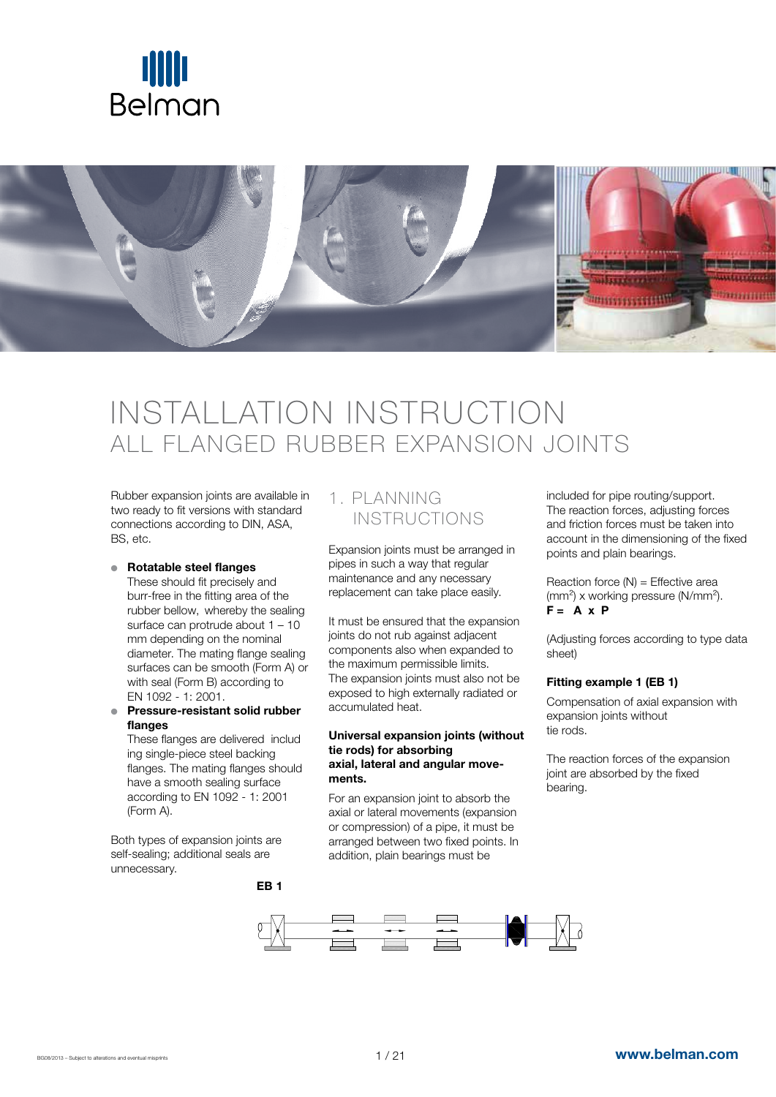



# INSTALLATION INSTRUCTION ALL FLANGED RUBBER EXPANSION JOINTS

Rubber expansion joints are available in two ready to fit versions with standard connections according to DIN, ASA, BS, etc.

#### ● Rotatable steel flanges

These should fit precisely and burr-free in the fitting area of the rubber bellow, whereby the sealing surface can protrude about 1 – 10 mm depending on the nominal diameter. The mating flange sealing surfaces can be smooth (Form A) or with seal (Form B) according to EN 1092 - 1: 2001.

● Pressure-resistant solid rubber flanges

These flanges are delivered includ ing single-piece steel backing flanges. The mating flanges should have a smooth sealing surface according to EN 1092 - 1: 2001 (Form A).

EB 1

Both types of expansion joints are self-sealing; additional seals are unnecessary.

### 1. PLANNING INSTRUCTIONS

Expansion joints must be arranged in pipes in such a way that regular maintenance and any necessary replacement can take place easily.

It must be ensured that the expansion joints do not rub against adjacent components also when expanded to the maximum permissible limits. The expansion joints must also not be exposed to high externally radiated or accumulated heat.

#### Universal expansion joints (without tie rods) for absorbing axial, lateral and angular movements.

For an expansion joint to absorb the axial or lateral movements (expansion or compression) of a pipe, it must be arranged between two fixed points. In addition, plain bearings must be

included for pipe routing/support. The reaction forces, adjusting forces and friction forces must be taken into account in the dimensioning of the fixed points and plain bearings.

Reaction force  $(N)$  = Effective area (mm²) x working pressure (N/mm²).  $F = A \times P$ 

(Adjusting forces according to type data sheet)

#### Fitting example 1 (EB 1)

Compensation of axial expansion with expansion joints without tie rods.

The reaction forces of the expansion joint are absorbed by the fixed bearing.

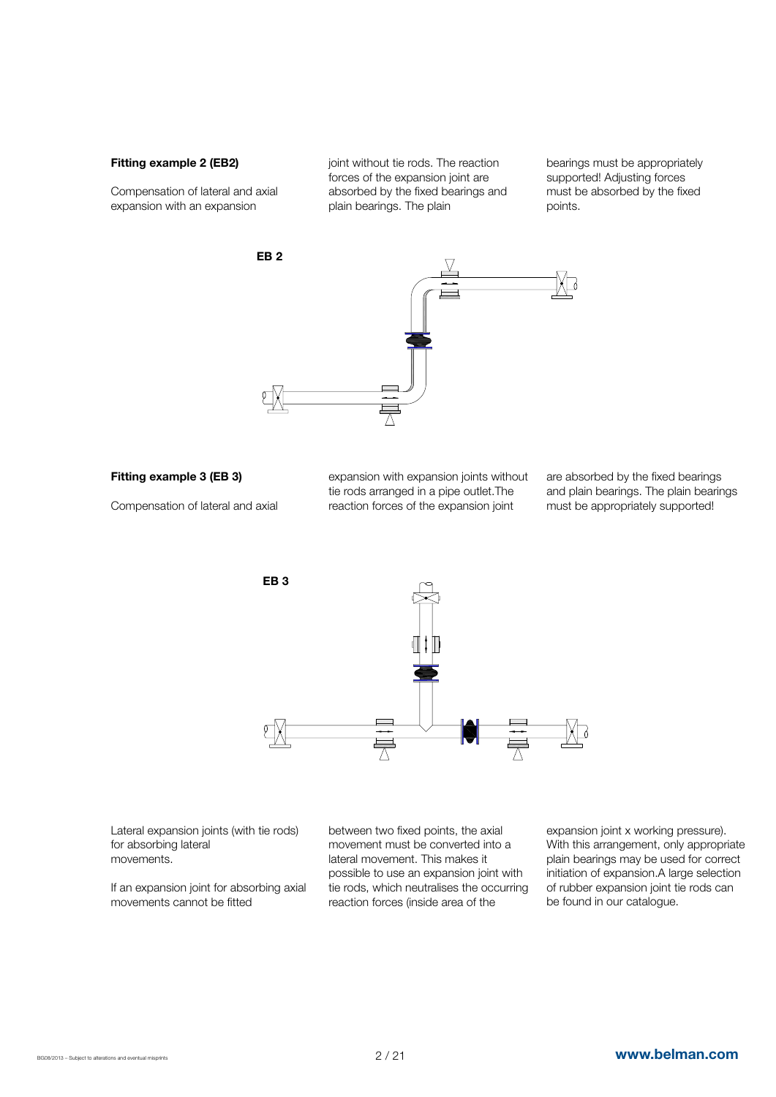#### Fitting example 2 (EB2)

Compensation of lateral and axial expansion with an expansion

joint without tie rods. The reaction forces of the expansion joint are absorbed by the fixed bearings and plain bearings. The plain

bearings must be appropriately supported! Adjusting forces must be absorbed by the fixed points.



#### Fitting example 3 (EB 3)

Compensation of lateral and axial

expansion with expansion joints without tie rods arranged in a pipe outlet.The reaction forces of the expansion joint

are absorbed by the fixed bearings and plain bearings. The plain bearings must be appropriately supported!



Lateral expansion joints (with tie rods) for absorbing lateral movements.

If an expansion joint for absorbing axial movements cannot be fitted

between two fixed points, the axial movement must be converted into a lateral movement. This makes it possible to use an expansion joint with tie rods, which neutralises the occurring reaction forces (inside area of the

expansion joint x working pressure). With this arrangement, only appropriate plain bearings may be used for correct initiation of expansion.A large selection of rubber expansion joint tie rods can be found in our catalogue.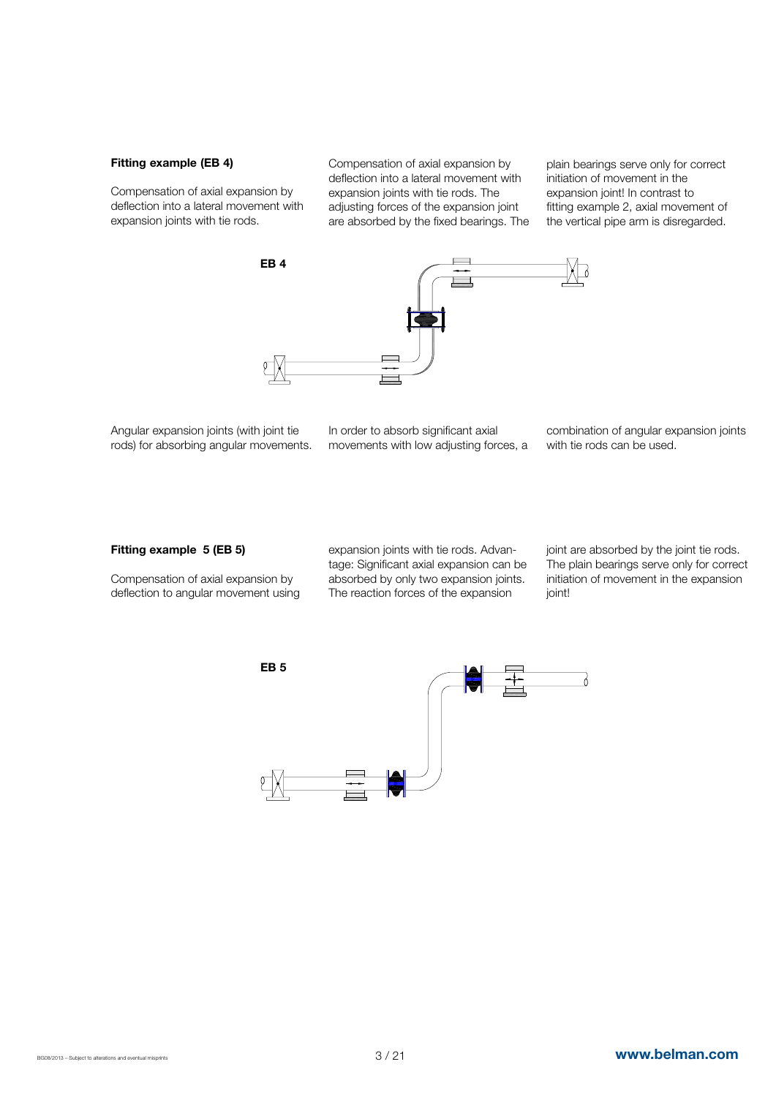#### Fitting example (EB 4)

Compensation of axial expansion by deflection into a lateral movement with expansion joints with tie rods.

Compensation of axial expansion by deflection into a lateral movement with expansion joints with tie rods. The adjusting forces of the expansion joint are absorbed by the fixed bearings. The



Angular expansion joints (with joint tie rods) for absorbing angular movements. In order to absorb significant axial movements with low adjusting forces, a combination of angular expansion joints with tie rods can be used.

plain bearings serve only for correct initiation of movement in the expansion joint! In contrast to fitting example 2, axial movement of the vertical pipe arm is disregarded.

#### Fitting example 5 (EB 5)

Compensation of axial expansion by deflection to angular movement using expansion joints with tie rods. Advantage: Significant axial expansion can be absorbed by only two expansion joints. The reaction forces of the expansion

joint are absorbed by the joint tie rods. The plain bearings serve only for correct initiation of movement in the expansion ioint!

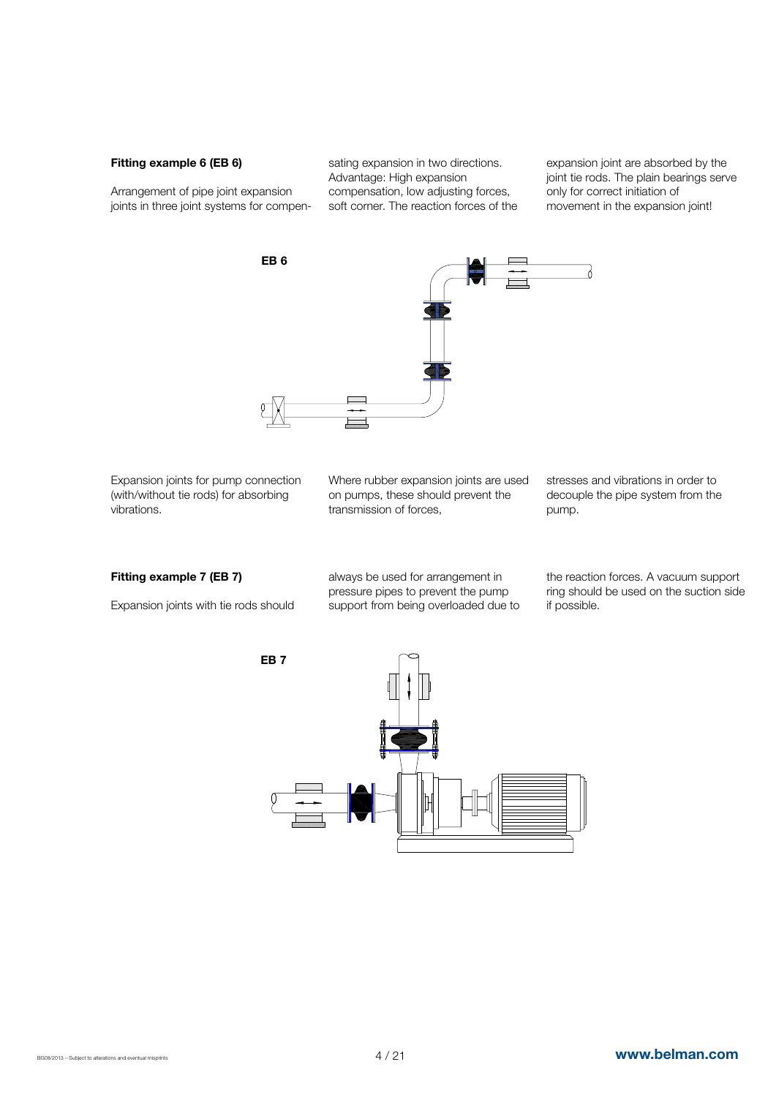#### Fitting example 6 (EB 6)

Arrangement of pipe joint expansion joints in three joint systems for compensating expansion in two directions. Advantage: High expansion compensation, low adjusting forces, soft corner. The reaction forces of the expansion joint are absorbed by the joint tie rods. The plain bearings serve only for correct initiation of movement in the expansion joint!



Expansion joints for pump connection (with/without tie rods) for absorbing vibrations.

Where rubber expansion joints are used on pumps, these should prevent the transmission of forces,

stresses and vibrations in order to decouple the pipe system from the pump.

#### Fitting example 7 (EB 7)

Expansion joints with tie rods should

always be used for arrangement in pressure pipes to prevent the pump support from being overloaded due to the reaction forces. A vacuum support ring should be used on the suction side if possible.

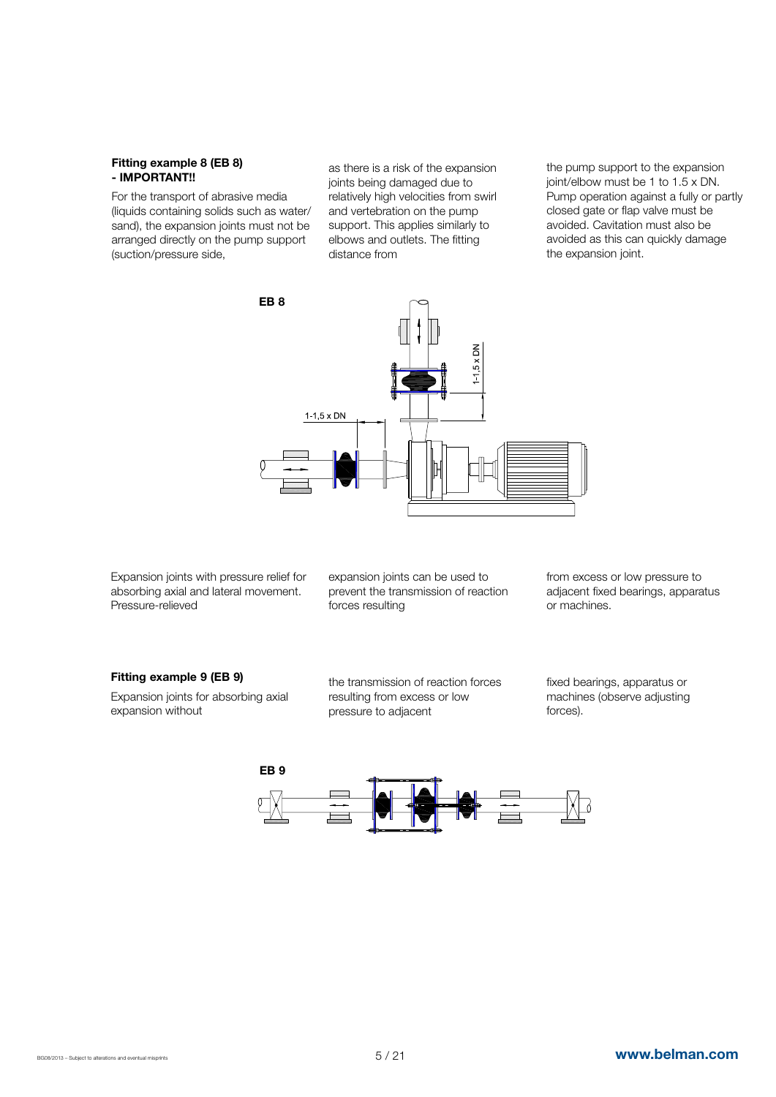#### Fitting example 8 (EB 8) - IMPORTANT!!

For the transport of abrasive media (liquids containing solids such as water/ sand), the expansion joints must not be arranged directly on the pump support (suction/pressure side,

as there is a risk of the expansion joints being damaged due to relatively high velocities from swirl and vertebration on the pump support. This applies similarly to elbows and outlets. The fitting distance from

the pump support to the expansion joint/elbow must be 1 to 1.5 x DN. Pump operation against a fully or partly closed gate or flap valve must be avoided. Cavitation must also be avoided as this can quickly damage the expansion joint.



Expansion joints with pressure relief for absorbing axial and lateral movement. Pressure-relieved

expansion joints can be used to prevent the transmission of reaction forces resulting

from excess or low pressure to adjacent fixed bearings, apparatus or machines.

#### Fitting example 9 (EB 9)

Expansion joints for absorbing axial expansion without

the transmission of reaction forces resulting from excess or low pressure to adjacent

fixed bearings, apparatus or machines (observe adjusting forces).

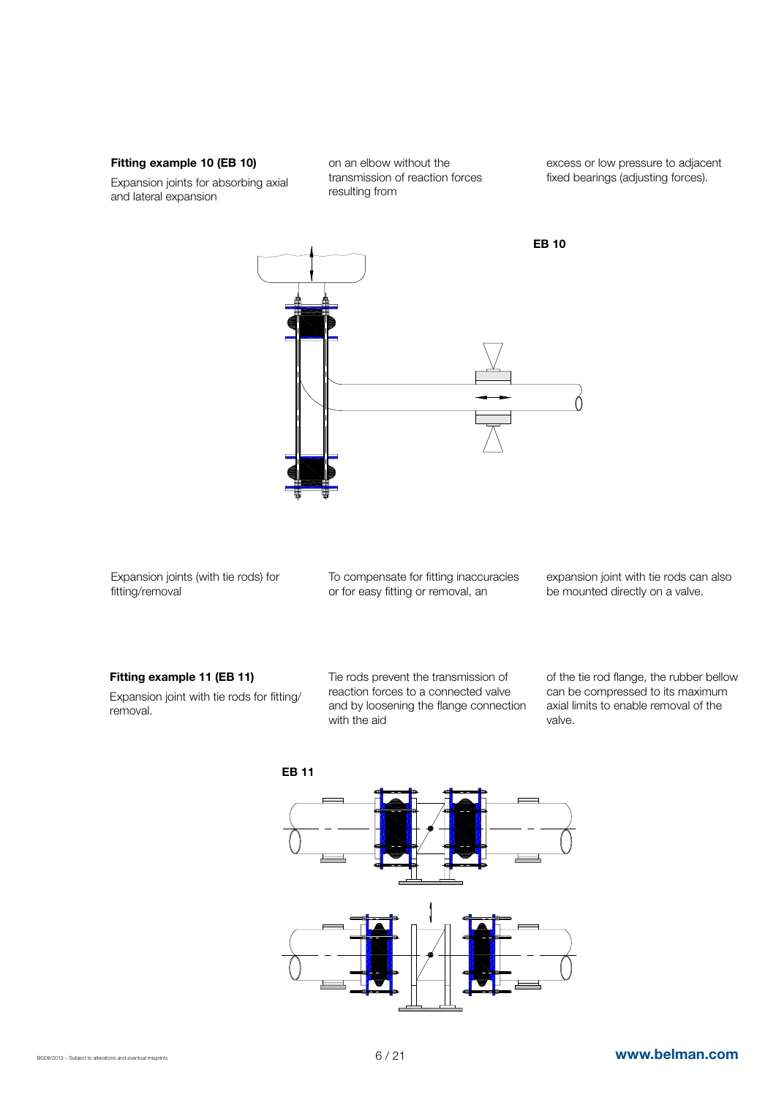#### Fitting example 10 (EB 10)

Expansion joints for absorbing axial and lateral expansion

on an elbow without the transmission of reaction forces resulting from

excess or low pressure to adjacent fixed bearings (adjusting forces).



Expansion joints (with tie rods) for fitting/removal

To compensate for fitting inaccuracies or for easy fitting or removal, an

expansion joint with tie rods can also be mounted directly on a valve.

#### Fitting example 11 (EB 11)

Expansion joint with tie rods for fitting/ removal.

Tie rods prevent the transmission of reaction forces to a connected valve and by loosening the flange connection with the aid

of the tie rod flange, the rubber bellow can be compressed to its maximum axial limits to enable removal of the valve.

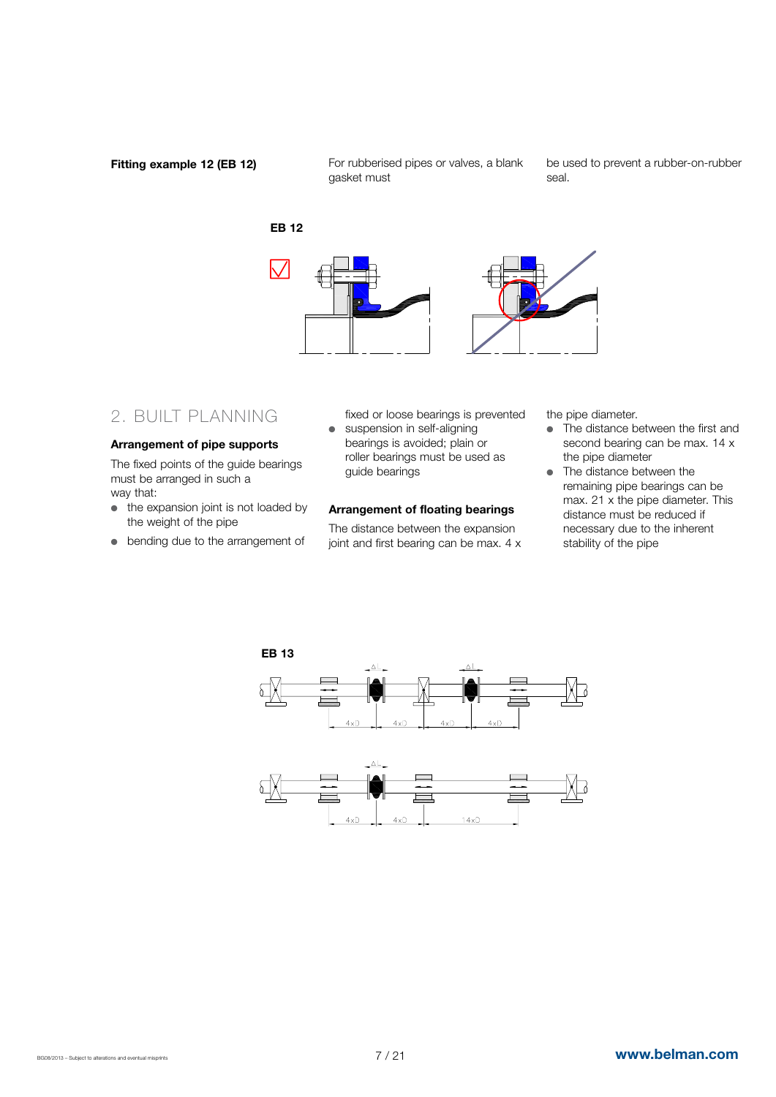#### Fitting example 12 (EB 12)

For rubberised pipes or valves, a blank gasket must

be used to prevent a rubber-on-rubber seal.



# 2. BUILT PLANNING

#### Arrangement of pipe supports

The fixed points of the guide bearings must be arranged in such a way that:

- $\bullet$  the expansion joint is not loaded by the weight of the pipe
- bending due to the arrangement of
- fixed or loose bearings is prevented  $\bullet$  suspension in self-aligning bearings is avoided; plain or roller bearings must be used as guide bearings

#### Arrangement of floating bearings

The distance between the expansion joint and first bearing can be max. 4 x the pipe diameter.

- $\bullet$  The distance between the first and second bearing can be max. 14 x the pipe diameter
- The distance between the remaining pipe bearings can be max. 21 x the pipe diameter. This distance must be reduced if necessary due to the inherent stability of the pipe

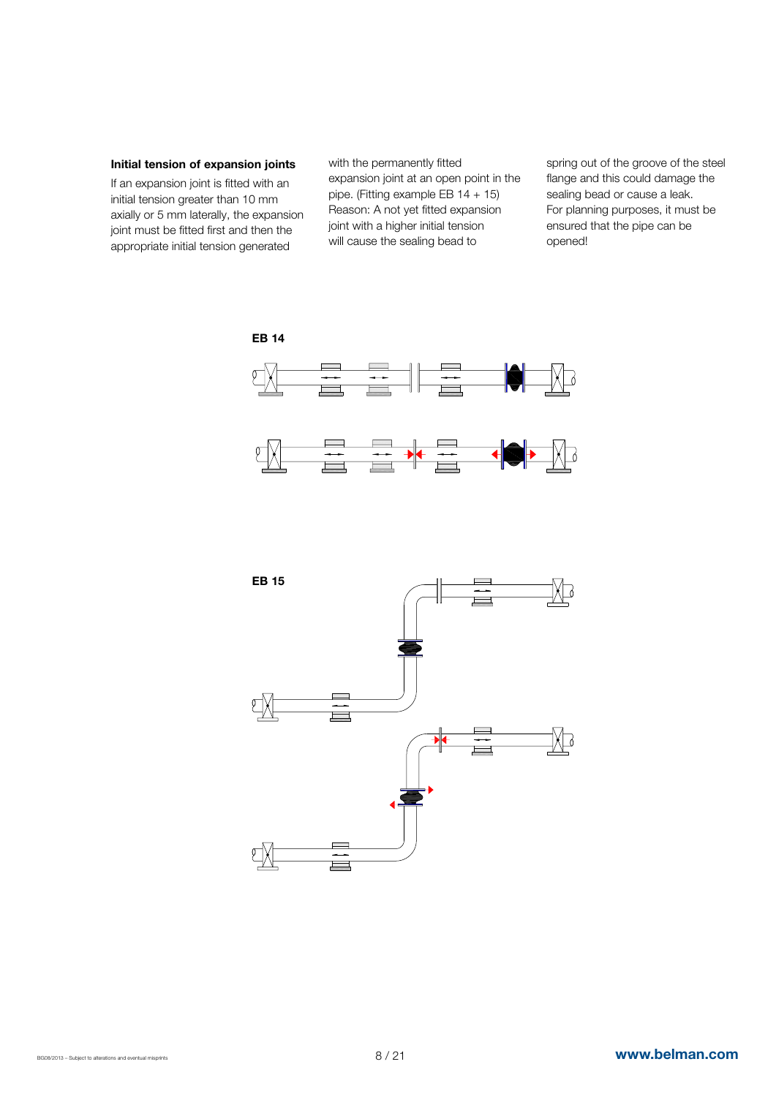#### Initial tension of expansion joints

If an expansion joint is fitted with an initial tension greater than 10 mm axially or 5 mm laterally, the expansion joint must be fitted first and then the appropriate initial tension generated

with the permanently fitted expansion joint at an open point in the pipe. (Fitting example EB  $14 + 15$ ) Reason: A not yet fitted expansion joint with a higher initial tension will cause the sealing bead to

spring out of the groove of the steel flange and this could damage the sealing bead or cause a leak. For planning purposes, it must be ensured that the pipe can be opened!





#### EB 14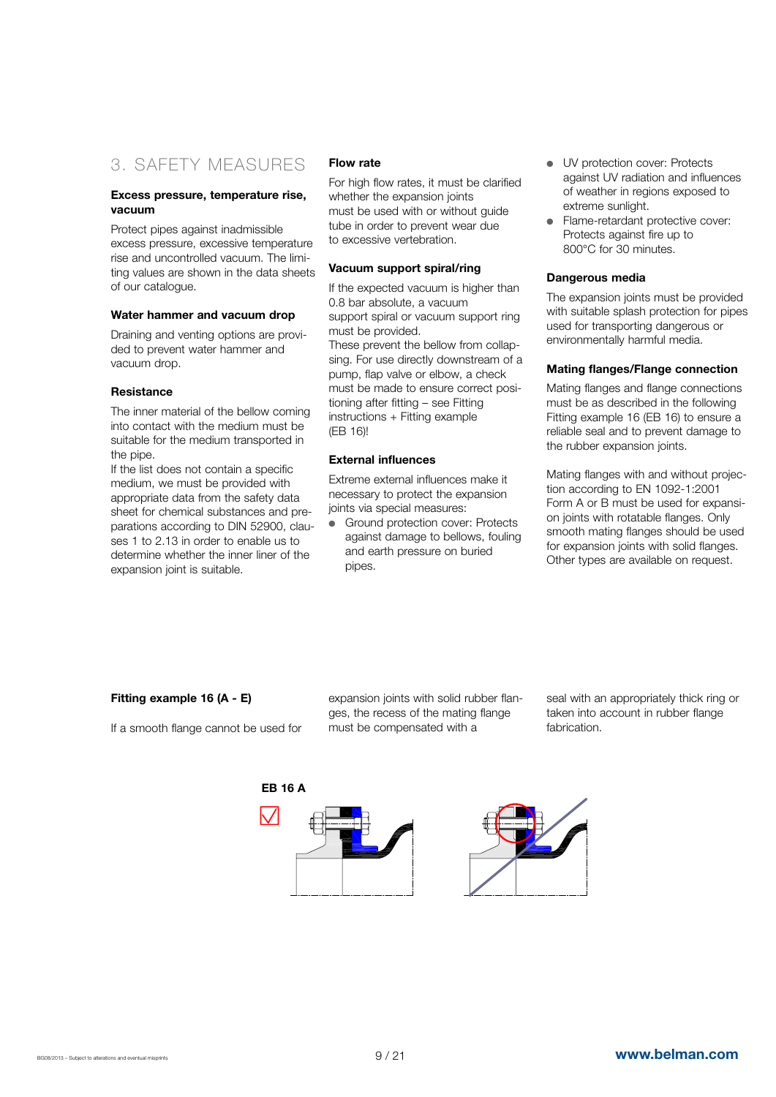# 3. SAFETY MEASURES

#### Excess pressure, temperature rise, vacuum

Protect pipes against inadmissible excess pressure, excessive temperature rise and uncontrolled vacuum. The limiting values are shown in the data sheets of our catalogue.

#### Water hammer and vacuum drop

Draining and venting options are provided to prevent water hammer and vacuum drop.

#### **Resistance**

The inner material of the bellow coming into contact with the medium must be suitable for the medium transported in the pipe.

If the list does not contain a specific medium, we must be provided with appropriate data from the safety data sheet for chemical substances and preparations according to DIN 52900, clauses 1 to 2.13 in order to enable us to determine whether the inner liner of the expansion joint is suitable.

#### Flow rate

For high flow rates, it must be clarified whether the expansion joints must be used with or without guide tube in order to prevent wear due to excessive vertebration.

#### Vacuum support spiral/ring

If the expected vacuum is higher than 0.8 bar absolute, a vacuum support spiral or vacuum support ring must be provided.

These prevent the bellow from collapsing. For use directly downstream of a pump, flap valve or elbow, a check must be made to ensure correct positioning after fitting – see Fitting instructions + Fitting example (EB 16)!

#### External influences

Extreme external influences make it necessary to protect the expansion joints via special measures:

Ground protection cover: Protects against damage to bellows, fouling and earth pressure on buried pipes.

- **I** UV protection cover: Protects against UV radiation and influences of weather in regions exposed to extreme sunlight.
- Flame-retardant protective cover: Protects against fire up to 800°C for 30 minutes.

#### Dangerous media

The expansion joints must be provided with suitable splash protection for pipes used for transporting dangerous or environmentally harmful media.

#### Mating flanges/Flange connection

Mating flanges and flange connections must be as described in the following Fitting example 16 (EB 16) to ensure a reliable seal and to prevent damage to the rubber expansion joints.

Mating flanges with and without projection according to EN 1092-1:2001 Form A or B must be used for expansion joints with rotatable flanges. Only smooth mating flanges should be used for expansion joints with solid flanges. Other types are available on request.

#### Fitting example 16 (A - E)

If a smooth flange cannot be used for

expansion joints with solid rubber flanges, the recess of the mating flange must be compensated with a

seal with an appropriately thick ring or taken into account in rubber flange fabrication.

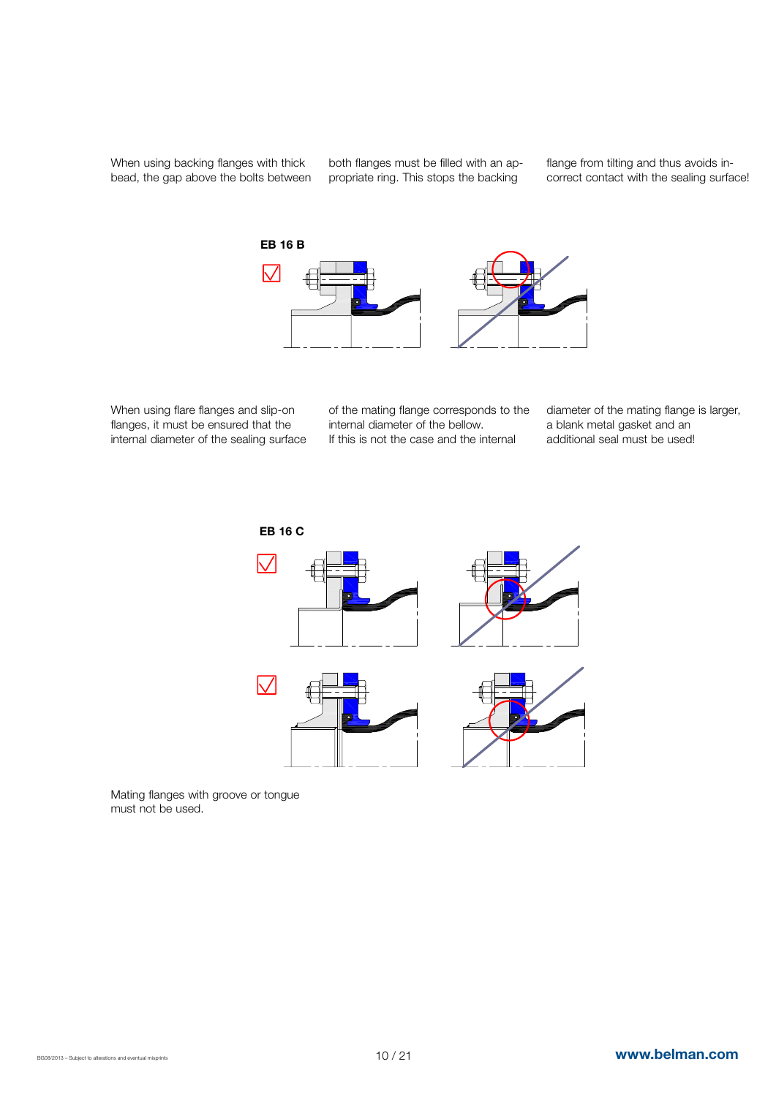When using backing flanges with thick bead, the gap above the bolts between both flanges must be filled with an appropriate ring. This stops the backing

flange from tilting and thus avoids incorrect contact with the sealing surface!



When using flare flanges and slip-on flanges, it must be ensured that the internal diameter of the sealing surface of the mating flange corresponds to the internal diameter of the bellow. If this is not the case and the internal

diameter of the mating flange is larger, a blank metal gasket and an additional seal must be used!





Mating flanges with groove or tongue must not be used.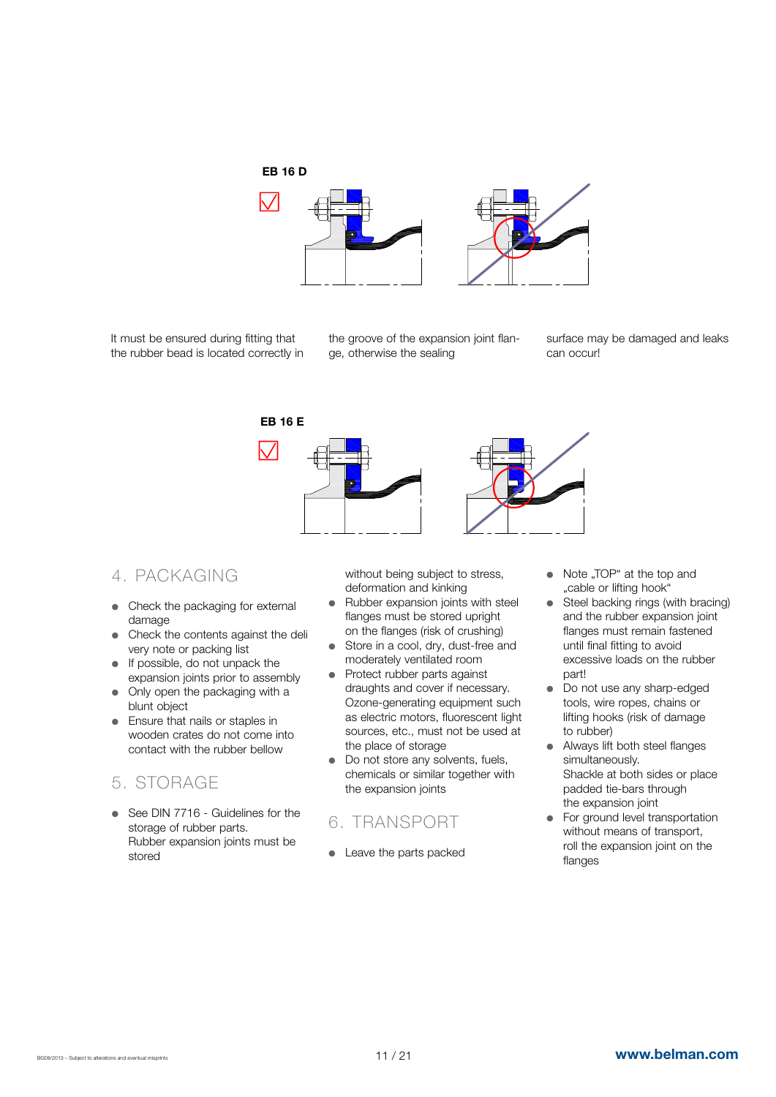

It must be ensured during fitting that the rubber bead is located correctly in

the groove of the expansion joint flange, otherwise the sealing

surface may be damaged and leaks can occur!



# 4. PACKAGING

- Check the packaging for external damage
- Check the contents against the deli very note or packing list
- $\bullet$  If possible, do not unpack the expansion joints prior to assembly
- Only open the packaging with a blunt object
- Ensure that nails or staples in wooden crates do not come into contact with the rubber bellow

# 5. STORAGE

• See DIN 7716 - Guidelines for the storage of rubber parts. Rubber expansion joints must be stored

without being subject to stress, deformation and kinking

- Rubber expansion joints with steel flanges must be stored upright on the flanges (risk of crushing)
- Store in a cool, dry, dust-free and moderately ventilated room
- Protect rubber parts against draughts and cover if necessary. Ozone-generating equipment such as electric motors, fluorescent light sources, etc., must not be used at the place of storage
- Do not store any solvents, fuels, chemicals or similar together with the expansion joints

# 6. TRANSPORT

• Leave the parts packed

- Note "TOP" at the top and "cable or lifting hook"
- Steel backing rings (with bracing) and the rubber expansion joint flanges must remain fastened until final fitting to avoid excessive loads on the rubber part!
- Do not use any sharp-edged tools, wire ropes, chains or lifting hooks (risk of damage to rubber)
- Always lift both steel flanges simultaneously. Shackle at both sides or place padded tie-bars through the expansion joint
- $\bullet$  For ground level transportation without means of transport, roll the expansion joint on the flanges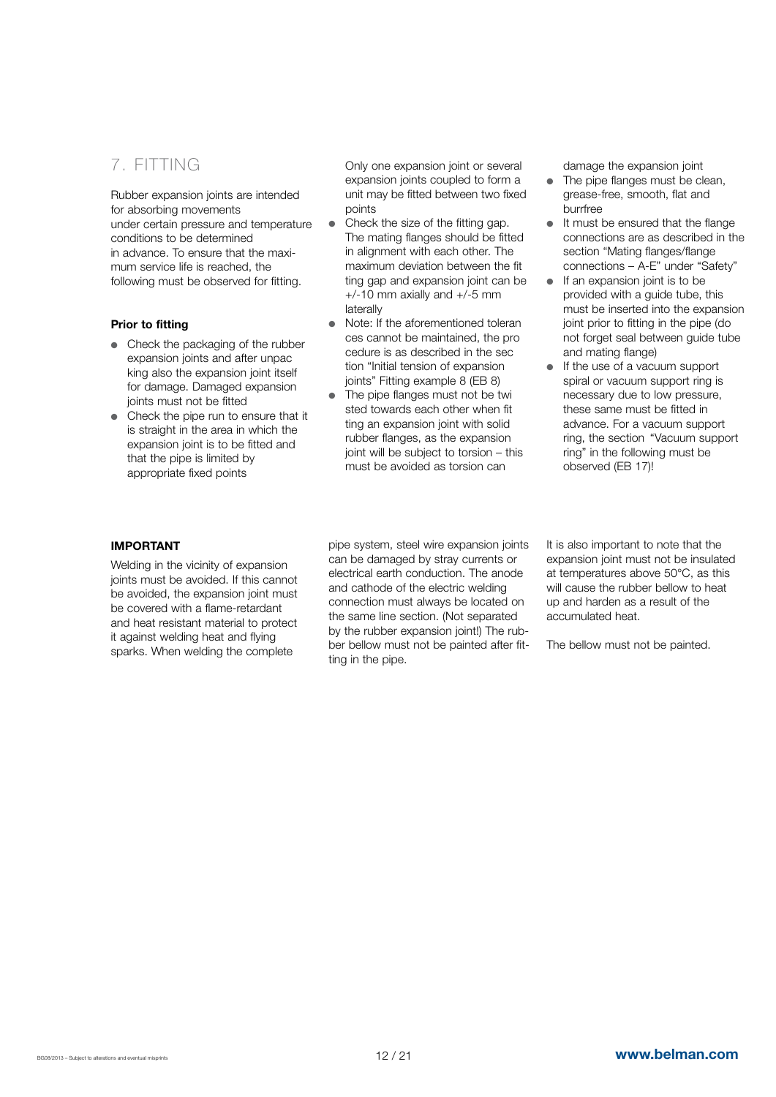# 7. FITTING

Rubber expansion joints are intended for absorbing movements under certain pressure and temperature conditions to be determined in advance. To ensure that the maximum service life is reached, the following must be observed for fitting.

#### Prior to fitting

- Check the packaging of the rubber expansion joints and after unpac king also the expansion joint itself for damage. Damaged expansion joints must not be fitted
- $\bullet$  Check the pipe run to ensure that it is straight in the area in which the expansion joint is to be fitted and that the pipe is limited by appropriate fixed points

Only one expansion joint or several expansion joints coupled to form a unit may be fitted between two fixed points

- Check the size of the fitting gap. The mating flanges should be fitted in alignment with each other. The maximum deviation between the fit ting gap and expansion joint can be  $+/-10$  mm axially and  $+/-5$  mm laterally
- Note: If the aforementioned toleran ces cannot be maintained, the pro cedure is as described in the sec tion "Initial tension of expansion joints" Fitting example 8 (EB 8)
- The pipe flanges must not be twi sted towards each other when fit ting an expansion joint with solid rubber flanges, as the expansion joint will be subject to torsion – this must be avoided as torsion can

damage the expansion joint

- $\bullet$  The pipe flanges must be clean. grease-free, smooth, flat and burrfree
- $\bullet$  It must be ensured that the flange connections are as described in the section "Mating flanges/flange connections – A-E" under "Safety"
- $\bullet$  If an expansion joint is to be provided with a guide tube, this must be inserted into the expansion joint prior to fitting in the pipe (do not forget seal between guide tube and mating flange)
- If the use of a vacuum support spiral or vacuum support ring is necessary due to low pressure, these same must be fitted in advance. For a vacuum support ring, the section "Vacuum support ring" in the following must be observed (EB 17)!

#### IMPORTANT

Welding in the vicinity of expansion joints must be avoided. If this cannot be avoided, the expansion joint must be covered with a flame-retardant and heat resistant material to protect it against welding heat and flying sparks. When welding the complete

pipe system, steel wire expansion joints can be damaged by stray currents or electrical earth conduction. The anode and cathode of the electric welding connection must always be located on the same line section. (Not separated by the rubber expansion joint!) The rubber bellow must not be painted after fitting in the pipe.

It is also important to note that the expansion joint must not be insulated at temperatures above 50°C, as this will cause the rubber bellow to heat up and harden as a result of the accumulated heat.

The bellow must not be painted.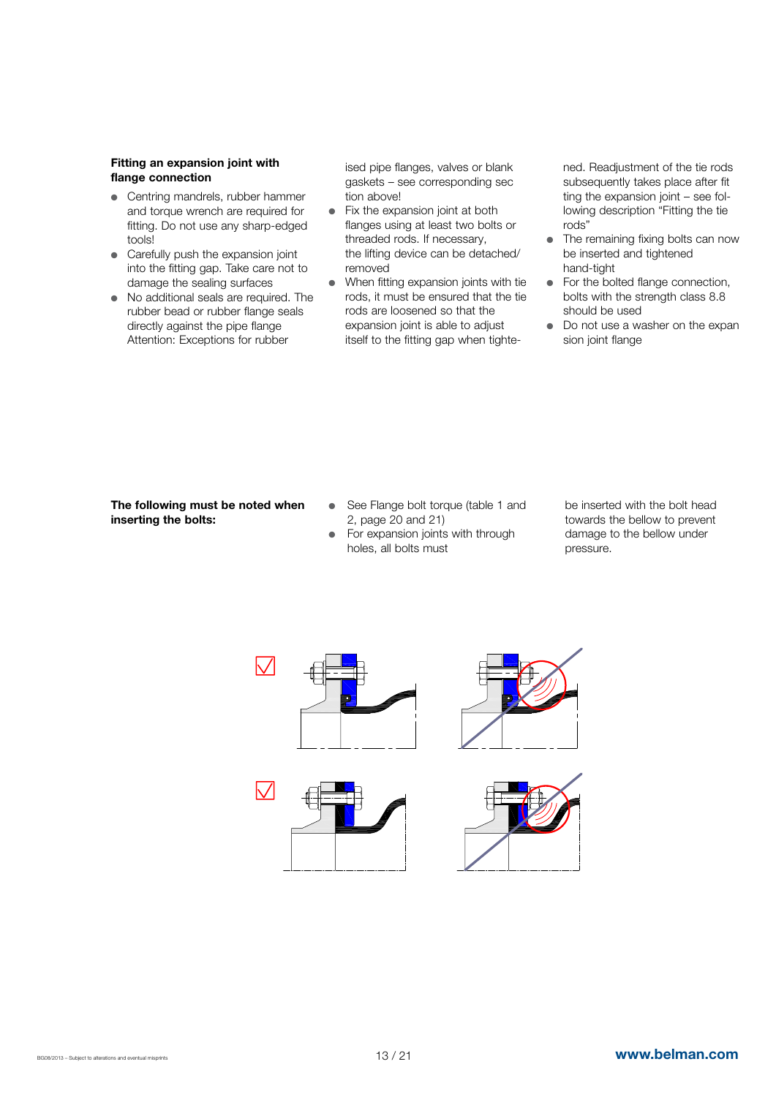#### Fitting an expansion joint with flange connection

- Centring mandrels, rubber hammer and torque wrench are required for fitting. Do not use any sharp-edged tools!
- Carefully push the expansion joint into the fitting gap. Take care not to damage the sealing surfaces
- No additional seals are required. The rubber bead or rubber flange seals directly against the pipe flange Attention: Exceptions for rubber

ised pipe flanges, valves or blank gaskets – see corresponding sec tion above!

- $\bullet$  Fix the expansion joint at both flanges using at least two bolts or threaded rods. If necessary, the lifting device can be detached/ removed
- When fitting expansion joints with tie rods, it must be ensured that the tie rods are loosened so that the expansion joint is able to adjust itself to the fitting gap when tighte-

ned. Readjustment of the tie rods subsequently takes place after fit ting the expansion joint – see following description "Fitting the tie rods"

- $\bullet$  The remaining fixing bolts can now be inserted and tightened hand-tight
- $\bullet$  For the bolted flange connection. bolts with the strength class 8.8 should be used
- $\bullet$  Do not use a washer on the expan sion joint flange

#### The following must be noted when inserting the bolts:

- See Flange bolt torque (table 1 and 2, page 20 and 21)
- For expansion joints with through holes, all bolts must

be inserted with the bolt head towards the bellow to prevent damage to the bellow under pressure.

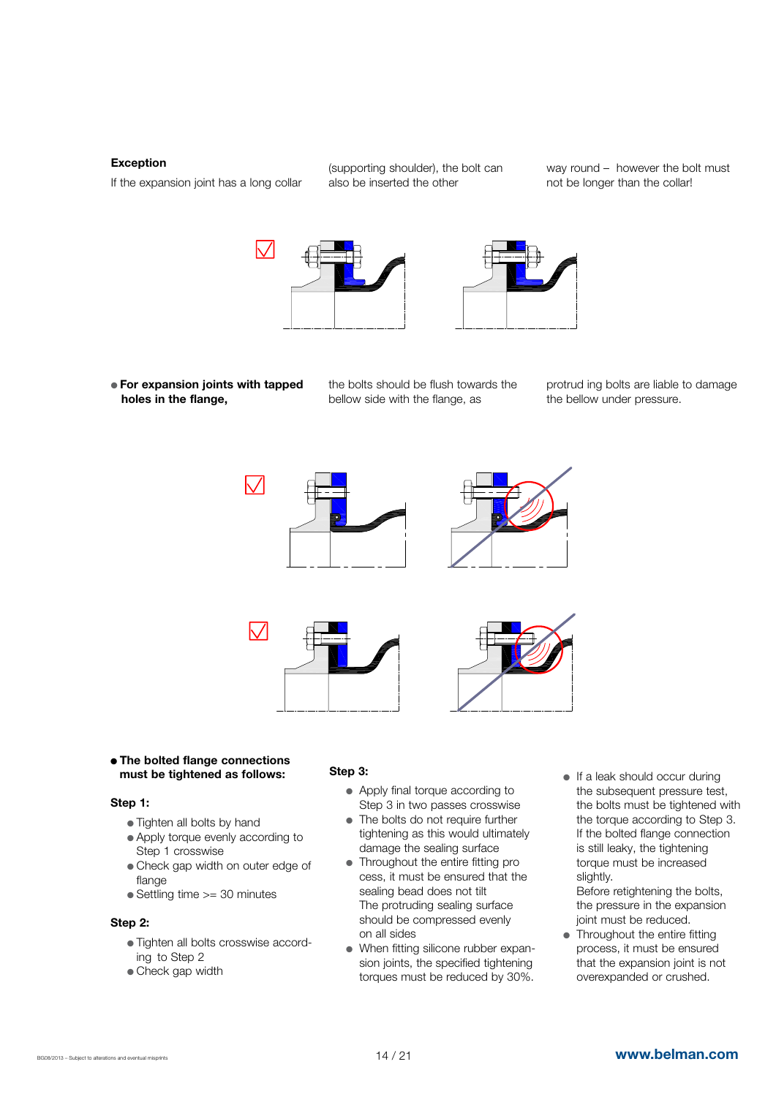#### Exception

If the expansion joint has a long collar

(supporting shoulder), the bolt can also be inserted the other

way round – however the bolt must not be longer than the collar!





- **For expansion joints with tapped** holes in the flange,
- the bolts should be flush towards the bellow side with the flange, as

protrud ing bolts are liable to damage the bellow under pressure.



• The bolted flange connections must be tightened as follows:

#### Step 1:

- Tighten all bolts by hand
- Apply torque evenly according to Step 1 crosswise
- Check gap width on outer edge of flange
- Settling time >= 30 minutes

#### Step 2:

- Tighten all bolts crosswise according to Step 2
- Check gap width

#### Step 3:

- Apply final torque according to Step 3 in two passes crosswise
- The bolts do not require further tightening as this would ultimately damage the sealing surface
- Throughout the entire fitting pro cess, it must be ensured that the sealing bead does not tilt The protruding sealing surface should be compressed evenly on all sides
- When fitting silicone rubber expan sion joints, the specified tightening torques must be reduced by 30%.
- $\bullet$  If a leak should occur during the subsequent pressure test, the bolts must be tightened with the torque according to Step 3. If the bolted flange connection is still leaky, the tightening torque must be increased slightly.

 Before retightening the bolts, the pressure in the expansion joint must be reduced.

 $\bullet$  Throughout the entire fitting process, it must be ensured that the expansion joint is not overexpanded or crushed.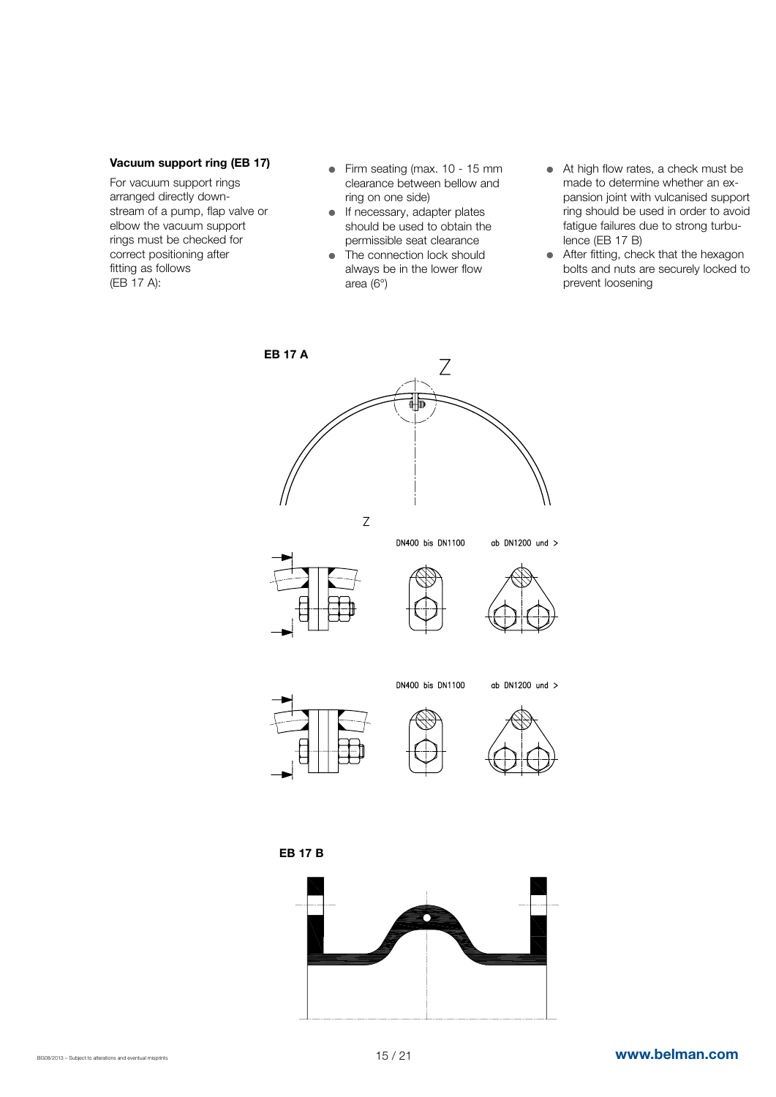#### Vacuum support ring (EB 17)

For vacuum support rings arranged directly downstream of a pump, flap valve or elbow the vacuum support rings must be checked for correct positioning after fitting as follows (EB 17 A):

- $\bullet$  Firm seating (max. 10 15 mm clearance between bellow and ring on one side)
- $\bullet$  If necessary, adapter plates should be used to obtain the permissible seat clearance
- $\bullet$  The connection lock should always be in the lower flow area (6°)
- At high flow rates, a check must be made to determine whether an expansion joint with vulcanised support ring should be used in order to avoid fatigue failures due to strong turbulence (EB 17 B)
- After fitting, check that the hexagon bolts and nuts are securely locked to prevent loosening



EB 17 B

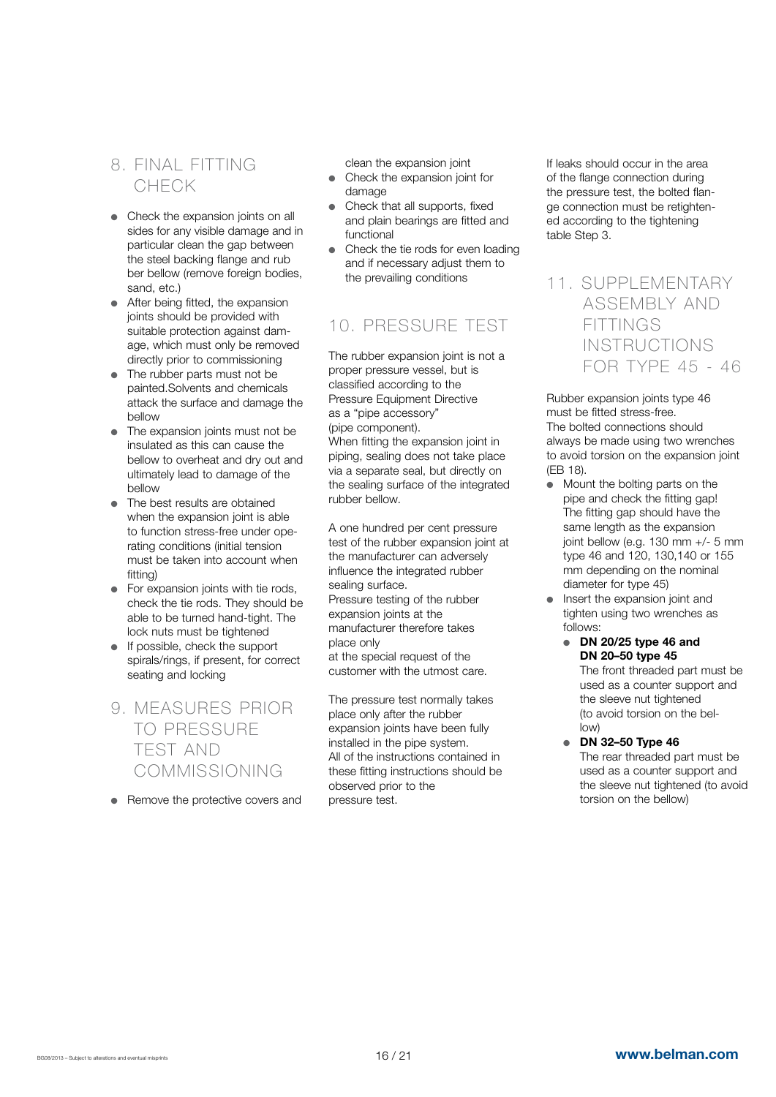# 8. FINAL FITTING CHECK

- $\bullet$  Check the expansion joints on all sides for any visible damage and in particular clean the gap between the steel backing flange and rub ber bellow (remove foreign bodies, sand, etc.)
- $\bullet$  After being fitted, the expansion joints should be provided with suitable protection against damage, which must only be removed directly prior to commissioning
- $\bullet$  The rubber parts must not be painted.Solvents and chemicals attack the surface and damage the bellow
- The expansion joints must not be insulated as this can cause the bellow to overheat and dry out and ultimately lead to damage of the bellow
- The best results are obtained when the expansion joint is able to function stress-free under operating conditions (initial tension must be taken into account when fitting)
- $\bullet$  For expansion joints with tie rods, check the tie rods. They should be able to be turned hand-tight. The lock nuts must be tightened
- $\bullet$  If possible, check the support spirals/rings, if present, for correct seating and locking
- 9. MEASURES PRIOR TO PRESSURE TEST AND COMMISSIONING
- $\bullet$  Remove the protective covers and

clean the expansion joint

- Check the expansion joint for damage
- Check that all supports, fixed and plain bearings are fitted and functional
- Check the tie rods for even loading and if necessary adjust them to the prevailing conditions

# 10. PRESSURE TEST

The rubber expansion joint is not a proper pressure vessel, but is classified according to the Pressure Equipment Directive as a "pipe accessory" (pipe component).

When fitting the expansion joint in piping, sealing does not take place via a separate seal, but directly on the sealing surface of the integrated rubber bellow.

A one hundred per cent pressure test of the rubber expansion joint at the manufacturer can adversely influence the integrated rubber sealing surface.

Pressure testing of the rubber expansion joints at the manufacturer therefore takes place only

at the special request of the customer with the utmost care.

The pressure test normally takes place only after the rubber expansion joints have been fully installed in the pipe system. All of the instructions contained in these fitting instructions should be observed prior to the pressure test.

If leaks should occur in the area of the flange connection during the pressure test, the bolted flange connection must be retightened according to the tightening table Step 3.

### 11. SUPPLEMENTARY ASSEMBLY AND **FITTINGS**  INSTRUCTIONS FOR TYPE 45 - 46

Rubber expansion joints type 46 must be fitted stress-free. The bolted connections should always be made using two wrenches to avoid torsion on the expansion joint (EB 18).

- Mount the bolting parts on the pipe and check the fitting gap! The fitting gap should have the same length as the expansion joint bellow (e.g. 130 mm +/- 5 mm type 46 and 120, 130,140 or 155 mm depending on the nominal diameter for type 45)
- $\bullet$  Insert the expansion joint and tighten using two wrenches as follows:
	- $\bullet$  DN 20/25 type 46 and DN 20–50 type 45 The front threaded part must be used as a counter support and

the sleeve nut tightened (to avoid torsion on the bel low)

 $\bullet$  DN 32–50 Type 46 The rear threaded part must be used as a counter support and the sleeve nut tightened (to avoid torsion on the bellow)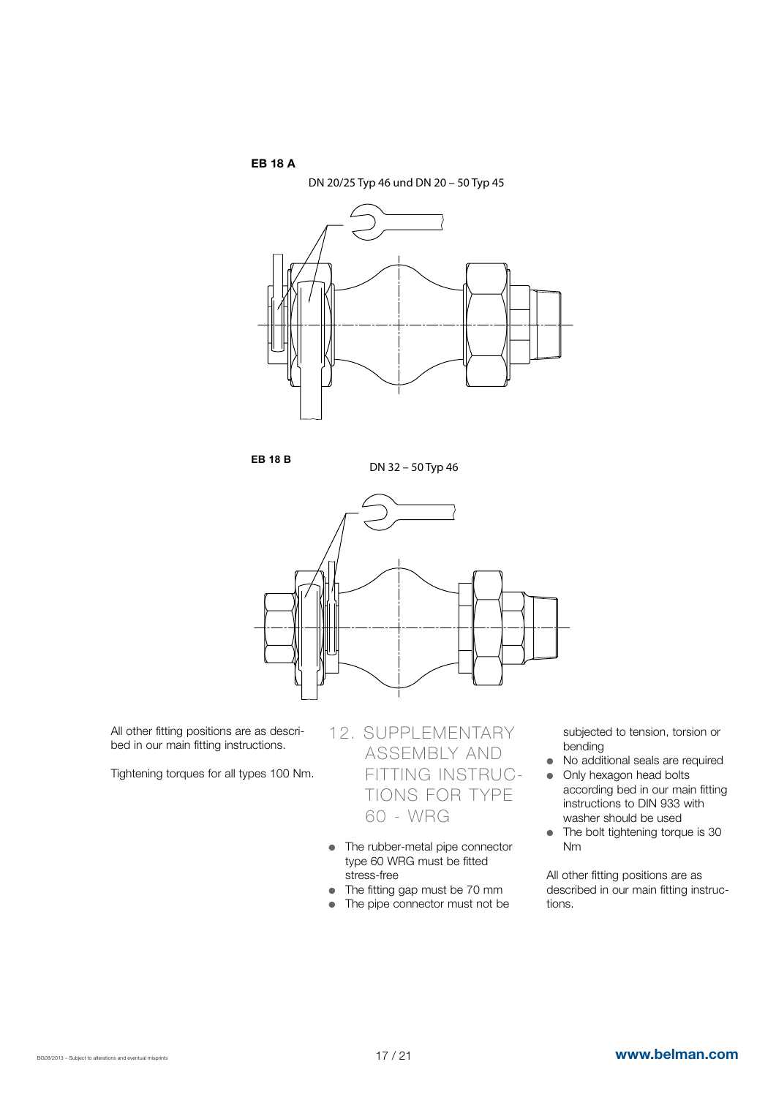EB 18 A



**EB 18 B**

DN 32 – 50 Typ 46



All other fitting positions are as described in our main fitting instructions.

Tightening torques for all types 100 Nm.

# 12. SUPPLEMENTARY ASSEMBLY AND FITTING INSTRUC- TIONS FOR TYPE 60 - WRG

- The rubber-metal pipe connector type 60 WRG must be fitted stress-free
- The fitting gap must be 70 mm
- $\bullet$  The pipe connector must not be

subjected to tension, torsion or bending

- No additional seals are required
- Only hexagon head bolts according bed in our main fitting instructions to DIN 933 with washer should be used
- $\bullet$  The bolt tightening torque is 30 Nm

All other fitting positions are as described in our main fitting instructions.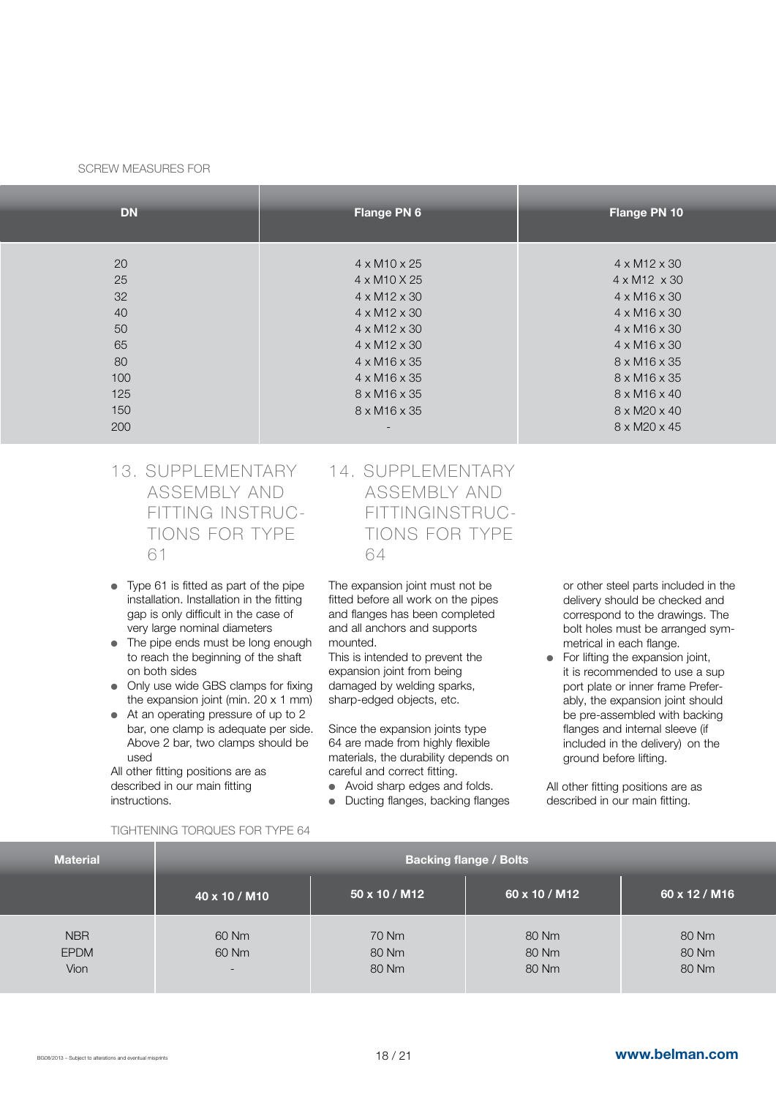#### SCREW MEASURES FOR

| <b>DN</b> | Flange PN 6              | Flange PN 10             |
|-----------|--------------------------|--------------------------|
|           |                          |                          |
| 20        | $4 \times M10 \times 25$ | $4 \times M12 \times 30$ |
| 25        | 4 x M10 X 25             | $4 \times M12 \times 30$ |
| 32        | $4 \times M12 \times 30$ | $4 \times M16 \times 30$ |
| 40        | $4 \times M12 \times 30$ | $4 \times M16 \times 30$ |
| 50        | $4 \times M12 \times 30$ | $4 \times M16 \times 30$ |
| 65        | $4 \times M12 \times 30$ | $4 \times M16 \times 30$ |
| 80        | $4 \times M16 \times 35$ | $8 \times M16 \times 35$ |
| 100       | $4 \times M16 \times 35$ | $8 \times M16 \times 35$ |
| 125       | 8 x M16 x 35             | $8 \times M16 \times 40$ |
| 150       | $8 \times M16 \times 35$ | $8 \times M20 \times 40$ |
| 200       |                          | 8 x M20 x 45             |
|           |                          |                          |

- 13. SUPPLEMENTARY ASSEMBLY AND FITTING INSTRUC- TIONS FOR TYPE 61
- $\bullet$  Type 61 is fitted as part of the pipe installation. Installation in the fitting gap is only difficult in the case of very large nominal diameters
- $\bullet$  The pipe ends must be long enough to reach the beginning of the shaft on both sides
- Only use wide GBS clamps for fixing the expansion joint (min. 20 x 1 mm)
- $\bullet$  At an operating pressure of up to 2 bar, one clamp is adequate per side. Above 2 bar, two clamps should be used

All other fitting positions are as described in our main fitting instructions.

### 14. SUPPLEMENTARY ASSEMBLY AND FITTINGINSTRUC- TIONS FOR TYPE 64

The expansion joint must not be fitted before all work on the pipes and flanges has been completed and all anchors and supports mounted.

This is intended to prevent the expansion joint from being damaged by welding sparks, sharp-edged objects, etc.

Since the expansion joints type 64 are made from highly flexible materials, the durability depends on careful and correct fitting.

- Avoid sharp edges and folds.
- Ducting flanges, backing flanges

or other steel parts included in the delivery should be checked and correspond to the drawings. The bolt holes must be arranged symmetrical in each flange.

For lifting the expansion joint, it is recommended to use a sup port plate or inner frame Preferably, the expansion joint should be pre-assembled with backing flanges and internal sleeve (if included in the delivery) on the ground before lifting.

All other fitting positions are as described in our main fitting.

#### TIGHTENING TORQUES FOR TYPE 64

| <b>Material</b>                   | <b>Backing flange / Bolts</b>              |                         |                         |                         |  |  |  |  |  |
|-----------------------------------|--------------------------------------------|-------------------------|-------------------------|-------------------------|--|--|--|--|--|
|                                   | 40 x 10 / M10                              | $150 \times 10 / M12$   | 60 x 10 / M12           | 60 x 12 / M16           |  |  |  |  |  |
| <b>NBR</b><br><b>EPDM</b><br>Vion | 60 Nm<br>60 Nm<br>$\overline{\phantom{0}}$ | 70 Nm<br>80 Nm<br>80 Nm | 80 Nm<br>80 Nm<br>80 Nm | 80 Nm<br>80 Nm<br>80 Nm |  |  |  |  |  |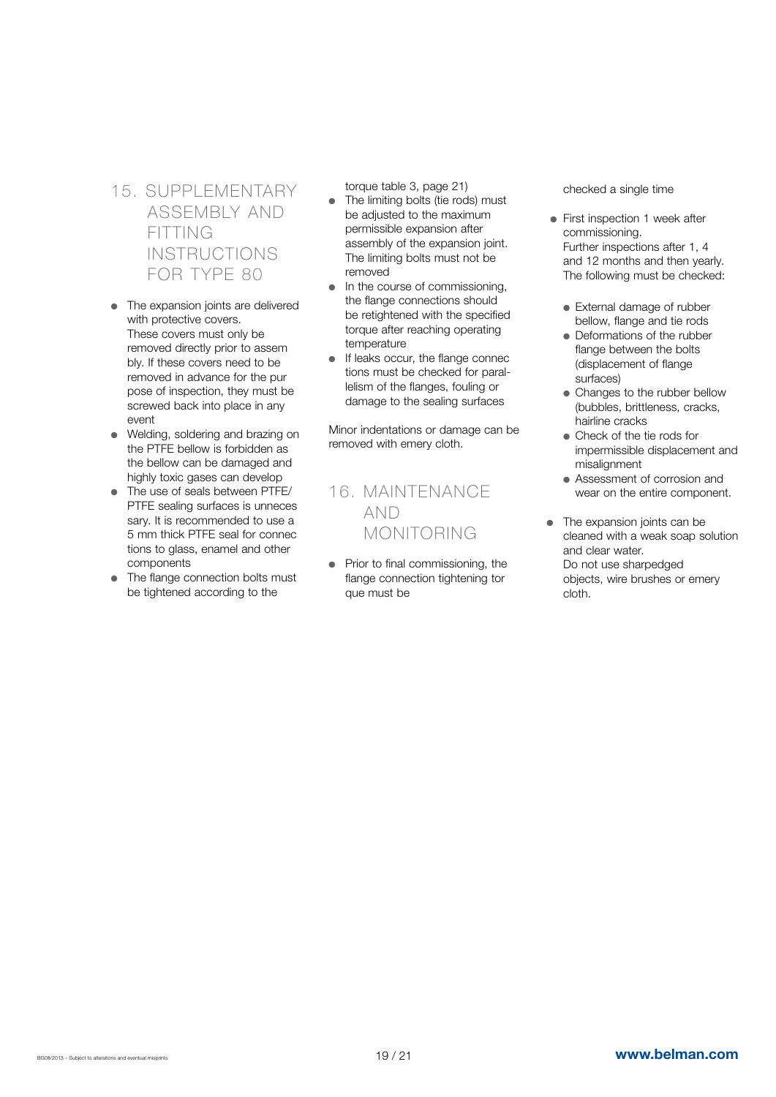15. SUPPLEMENTARY ASSEMBLY AND FITTING INSTRUCTIONS FOR TYPE 80

- $\bullet$  The expansion joints are delivered with protective covers. These covers must only be removed directly prior to assem bly. If these covers need to be removed in advance for the pur pose of inspection, they must be screwed back into place in any event
- Welding, soldering and brazing on the PTFE bellow is forbidden as the bellow can be damaged and highly toxic gases can develop
- The use of seals between PTFE/ PTFE sealing surfaces is unneces sary. It is recommended to use a 5 mm thick PTFE seal for connec tions to glass, enamel and other components
- The flange connection bolts must be tightened according to the

torque table 3, page 21)

- The limiting bolts (tie rods) must be adjusted to the maximum permissible expansion after assembly of the expansion joint. The limiting bolts must not be removed
- In the course of commissioning, the flange connections should be retightened with the specified torque after reaching operating temperature
- If leaks occur, the flange connec tions must be checked for parallelism of the flanges, fouling or damage to the sealing surfaces

Minor indentations or damage can be removed with emery cloth.

# 16. MAINTENANCE AND MONITORING

 $\bullet$  Prior to final commissioning, the flange connection tightening tor que must be

checked a single time

- First inspection 1 week after commissioning. Further inspections after 1, 4 and 12 months and then yearly. The following must be checked:
	- External damage of rubber bellow, flange and tie rods
	- Deformations of the rubber flange between the bolts (displacement of flange surfaces)
	- Changes to the rubber bellow (bubbles, brittleness, cracks, hairline cracks
	- Check of the tie rods for impermissible displacement and misalignment
	- Assessment of corrosion and wear on the entire component.
- $\bullet$  The expansion joints can be cleaned with a weak soap solution and clear water. Do not use sharpedged objects, wire brushes or emery cloth.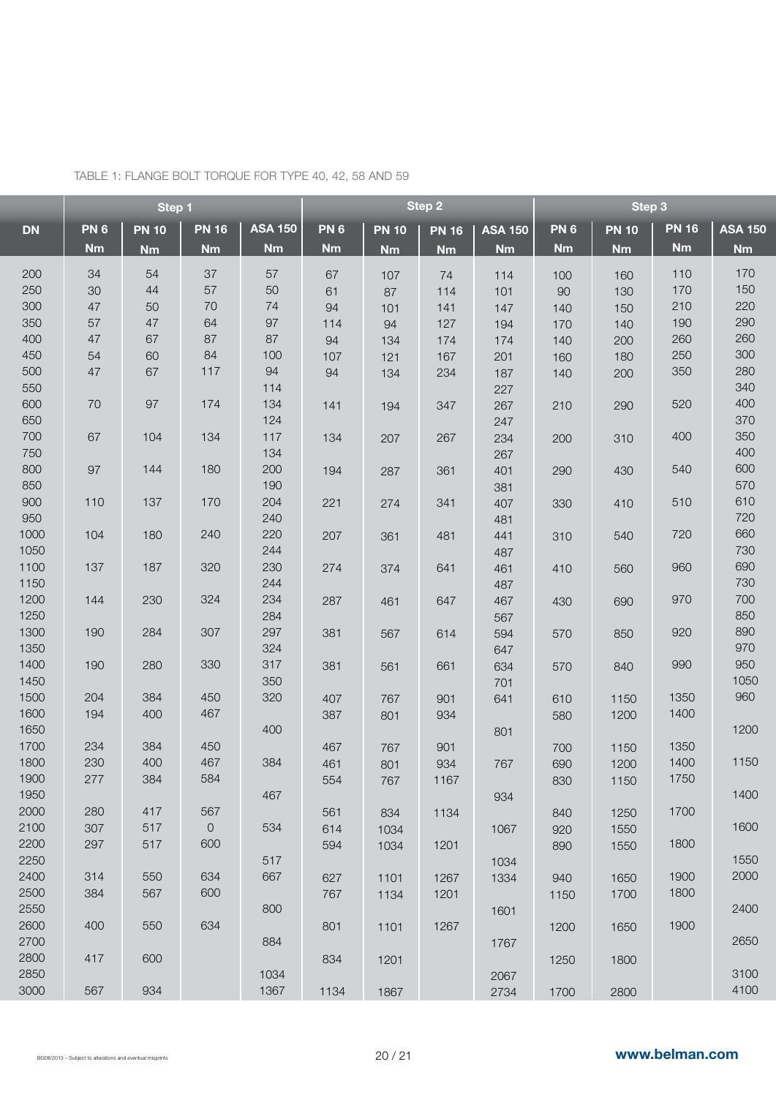|           | Step 1     |              |              | Step 2         |            |              | Step 3       |                |            |              |              |                |
|-----------|------------|--------------|--------------|----------------|------------|--------------|--------------|----------------|------------|--------------|--------------|----------------|
| <b>DN</b> | <b>PN6</b> | <b>PN 10</b> | <b>PN 16</b> | <b>ASA 150</b> | <b>PN6</b> | <b>PN 10</b> | <b>PN 16</b> | <b>ASA 150</b> | <b>PN6</b> | <b>PN 10</b> | <b>PN 16</b> | <b>ASA 150</b> |
|           | <b>Nm</b>  | <b>Nm</b>    | <b>Nm</b>    | <b>Nm</b>      | <b>Nm</b>  | <b>Nm</b>    | <b>Nm</b>    | <b>Nm</b>      | <b>Nm</b>  | <b>Nm</b>    | <b>Nm</b>    | <b>Nm</b>      |
| 200       | 34         | 54           | 37           | 57             |            |              |              |                |            |              | 110          | 170            |
|           | 30         | 44           | 57           |                | 67         | 107          | 74           | 114            | 100        | 160          | 170          | 150            |
| 250       |            |              |              | 50             | 61         | 87           | 114          | 101            | 90         | 130          |              |                |
| 300       | 47         | 50           | 70           | 74             | 94         | 101          | 141          | 147            | 140        | 150          | 210          | 220            |
| 350       | 57         | 47           | 64           | 97             | 114        | 94           | 127          | 194            | 170        | 140          | 190          | 290            |
| 400       | 47         | 67           | 87           | 87             | 94         | 134          | 174          | 174            | 140        | 200          | 260          | 260            |
| 450       | 54         | 60           | 84           | 100            | 107        | 121          | 167          | 201            | 160        | 180          | 250          | 300            |
| 500       | 47         | 67           | 117          | 94             | 94         | 134          | 234          | 187            | 140        | 200          | 350          | 280            |
| 550       |            |              |              | 114            |            |              |              | 227            |            |              |              | 340            |
| 600       | 70         | 97           | 174          | 134            | 141        | 194          | 347          | 267            | 210        | 290          | 520          | 400            |
| 650       |            |              |              | 124            |            |              |              | 247            |            |              |              | 370            |
| 700       | 67         | 104          | 134          | 117            | 134        | 207          | 267          | 234            | 200        | 310          | 400          | 350            |
| 750       |            |              |              | 134            |            |              |              | 267            |            |              |              | 400            |
| 800       | 97         | 144          | 180          | 200            | 194        | 287          | 361          | 401            | 290        | 430          | 540          | 600            |
| 850       |            |              |              | 190            |            |              |              | 381            |            |              |              | 570            |
| 900       | 110        | 137          | 170          | 204            | 221        | 274          | 341          | 407            | 330        | 410          | 510          | 610            |
| 950       |            |              |              | 240            |            |              |              | 481            |            |              |              | 720            |
| 1000      | 104        | 180          | 240          | 220            | 207        | 361          | 481          | 441            | 310        | 540          | 720          | 660            |
| 1050      |            |              |              | 244            |            |              |              | 487            |            |              |              | 730            |
| 1100      | 137        | 187          | 320          | 230            | 274        | 374          | 641          | 461            | 410        | 560          | 960          | 690            |
| 1150      |            |              |              | 244            |            |              |              | 487            |            |              |              | 730            |
| 1200      | 144        | 230          | 324          | 234            | 287        | 461          | 647          | 467            | 430        | 690          | 970          | 700            |
| 1250      |            |              |              | 284            |            |              |              | 567            |            |              |              | 850            |
| 1300      | 190        | 284          | 307          | 297            | 381        | 567          | 614          | 594            | 570        | 850          | 920          | 890            |
| 1350      |            |              |              | 324            |            |              |              | 647            |            |              |              | 970            |
| 1400      | 190        | 280          | 330          | 317            | 381        | 561          | 661          | 634            | 570        | 840          | 990          | 950            |
| 1450      |            |              |              | 350            |            |              |              | 701            |            |              |              | 1050           |
| 1500      | 204        | 384          | 450          | 320            | 407        | 767          | 901          | 641            | 610        | 1150         | 1350         | 960            |
| 1600      | 194        | 400          | 467          |                | 387        | 801          | 934          |                | 580        | 1200         | 1400         |                |
| 1650      |            |              |              | 400            |            |              |              | 801            |            |              |              | 1200           |
| 1700      | 234        | 384          | 450          |                | 467        | 767          | 901          |                | 700        | 1150         | 1350         |                |
| 1800      | 230        | 400          | 467          | 384            | 461        | 801          | 934          | 767            | 690        | 1200         | 1400         | 1150           |
| 1900      | 277        | 384          | 584          |                | 554        | 767          | 1167         |                | 830        | 1150         | 1750         |                |
| 1950      |            |              |              | 467            |            |              |              | 934            |            |              |              | 1400           |
| 2000      | 280        | 417          | 567          |                | 561        | 834          | 1134         |                | 840        | 1250         | 1700         |                |
| 2100      | 307        | 517          | $\mathsf O$  | 534            | 614        | 1034         |              | 1067           | 920        | 1550         |              | 1600           |
| 2200      | 297        | 517          | 600          |                | 594        | 1034         | 1201         |                | 890        | 1550         | 1800         |                |
| 2250      |            |              |              | 517            |            |              |              | 1034           |            |              |              | 1550           |
| 2400      | 314        | 550          | 634          | 667            | 627        | 1101         | 1267         | 1334           | 940        | 1650         | 1900         | 2000           |
| 2500      | 384        | 567          | 600          |                | 767        |              | 1201         |                | 1150       | 1700         | 1800         |                |
| 2550      |            |              |              | 800            |            | 1134         |              |                |            |              |              | 2400           |
| 2600      | 400        | 550          | 634          |                |            |              |              | 1601           |            |              | 1900         |                |
| 2700      |            |              |              | 884            | 801        | 1101         | 1267         |                | 1200       | 1650         |              | 2650           |
| 2800      | 417        | 600          |              |                |            |              |              | 1767           |            |              |              |                |
| 2850      |            |              |              | 1034           | 834        | 1201         |              |                | 1250       | 1800         |              | 3100           |
| 3000      |            | 934          |              | 1367           |            |              |              | 2067           |            |              |              | 4100           |
|           | 567        |              |              |                | 1134       | 1867         |              | 2734           | 1700       | 2800         |              |                |

TABLE 1: FLANGE BOLT TORQUE FOR TYPE 40, 42, 58 AND 59

í